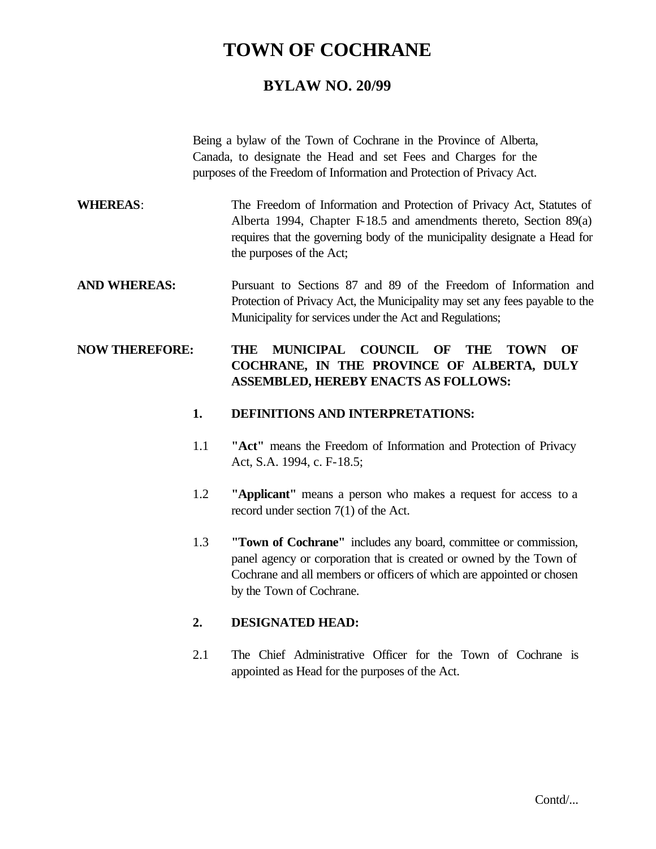# **TOWN OF COCHRANE**

## **BYLAW NO. 20/99**

Being a bylaw of the Town of Cochrane in the Province of Alberta, Canada, to designate the Head and set Fees and Charges for the purposes of the Freedom of Information and Protection of Privacy Act.

- **WHEREAS**: The Freedom of Information and Protection of Privacy Act, Statutes of Alberta 1994, Chapter F-18.5 and amendments thereto, Section  $89(a)$ requires that the governing body of the municipality designate a Head for the purposes of the Act;
- **AND WHEREAS:** Pursuant to Sections 87 and 89 of the Freedom of Information and Protection of Privacy Act, the Municipality may set any fees payable to the Municipality for services under the Act and Regulations;

### **NOW THEREFORE: THE MUNICIPAL COUNCIL OF THE TOWN OF COCHRANE, IN THE PROVINCE OF ALBERTA, DULY ASSEMBLED, HEREBY ENACTS AS FOLLOWS:**

### **1. DEFINITIONS AND INTERPRETATIONS:**

- 1.1 **"Act"** means the Freedom of Information and Protection of Privacy Act, S.A. 1994, c. F-18.5;
- 1.2 **"Applicant"** means a person who makes a request for access to a record under section 7(1) of the Act.
- 1.3 **"Town of Cochrane"** includes any board, committee or commission, panel agency or corporation that is created or owned by the Town of Cochrane and all members or officers of which are appointed or chosen by the Town of Cochrane.

### **2. DESIGNATED HEAD:**

2.1 The Chief Administrative Officer for the Town of Cochrane is appointed as Head for the purposes of the Act.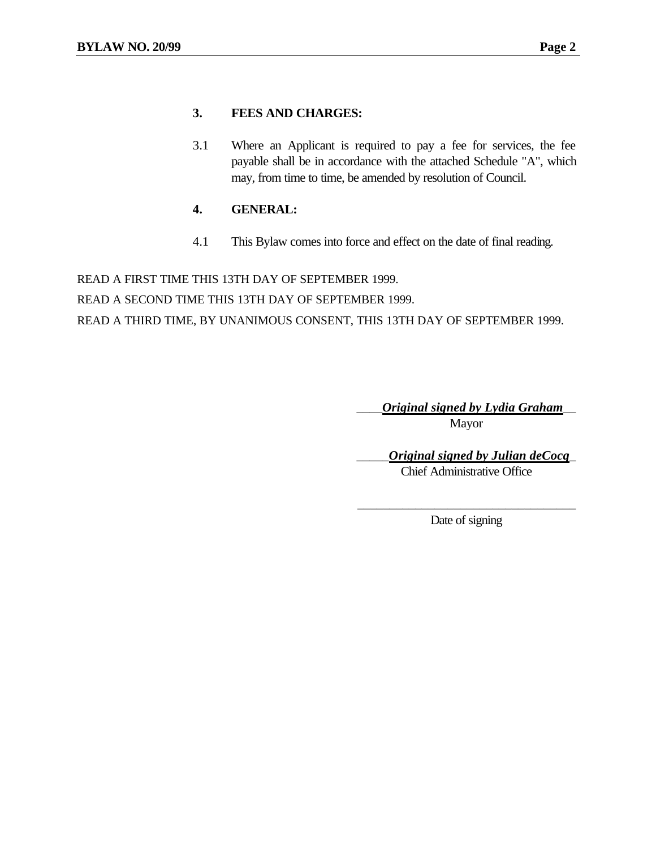#### **3. FEES AND CHARGES:**

3.1 Where an Applicant is required to pay a fee for services, the fee payable shall be in accordance with the attached Schedule "A", which may, from time to time, be amended by resolution of Council.

#### **4. GENERAL:**

4.1 This Bylaw comes into force and effect on the date of final reading.

READ A FIRST TIME THIS 13TH DAY OF SEPTEMBER 1999. READ A SECOND TIME THIS 13TH DAY OF SEPTEMBER 1999. READ A THIRD TIME, BY UNANIMOUS CONSENT, THIS 13TH DAY OF SEPTEMBER 1999.

> \_\_\_\_*Original signed by Lydia Graham*\_\_ Mayor

> > \_\_\_\_\_*Original signed by Julian deCocq*\_ Chief Administrative Office

\_\_\_\_\_\_\_\_\_\_\_\_\_\_\_\_\_\_\_\_\_\_\_\_\_\_\_\_\_\_\_\_\_\_ Date of signing